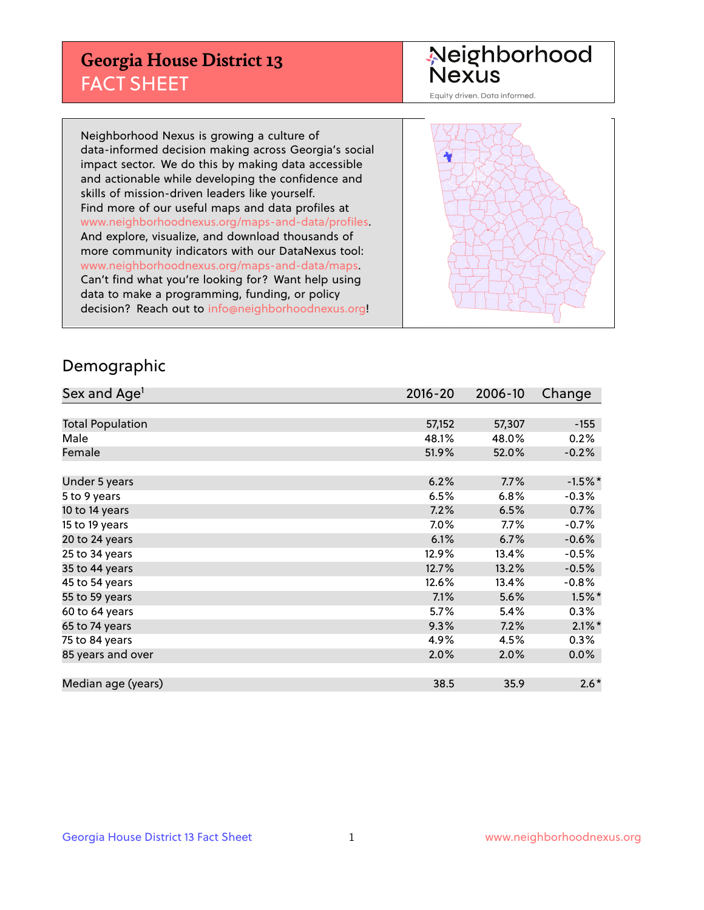## **Georgia House District 13** FACT SHEET

# Neighborhood<br>Nexus

Equity driven. Data informed.

Neighborhood Nexus is growing a culture of data-informed decision making across Georgia's social impact sector. We do this by making data accessible and actionable while developing the confidence and skills of mission-driven leaders like yourself. Find more of our useful maps and data profiles at www.neighborhoodnexus.org/maps-and-data/profiles. And explore, visualize, and download thousands of more community indicators with our DataNexus tool: www.neighborhoodnexus.org/maps-and-data/maps. Can't find what you're looking for? Want help using data to make a programming, funding, or policy decision? Reach out to [info@neighborhoodnexus.org!](mailto:info@neighborhoodnexus.org)



### Demographic

| Sex and Age <sup>1</sup> | $2016 - 20$ | 2006-10 | Change    |
|--------------------------|-------------|---------|-----------|
|                          |             |         |           |
| <b>Total Population</b>  | 57,152      | 57,307  | $-155$    |
| Male                     | 48.1%       | 48.0%   | 0.2%      |
| Female                   | 51.9%       | 52.0%   | $-0.2%$   |
|                          |             |         |           |
| Under 5 years            | 6.2%        | 7.7%    | $-1.5%$ * |
| 5 to 9 years             | 6.5%        | 6.8%    | $-0.3%$   |
| 10 to 14 years           | 7.2%        | 6.5%    | 0.7%      |
| 15 to 19 years           | 7.0%        | 7.7%    | $-0.7%$   |
| 20 to 24 years           | 6.1%        | 6.7%    | $-0.6%$   |
| 25 to 34 years           | 12.9%       | 13.4%   | $-0.5%$   |
| 35 to 44 years           | 12.7%       | 13.2%   | $-0.5%$   |
| 45 to 54 years           | 12.6%       | 13.4%   | $-0.8%$   |
| 55 to 59 years           | 7.1%        | 5.6%    | $1.5\%$ * |
| 60 to 64 years           | 5.7%        | 5.4%    | 0.3%      |
| 65 to 74 years           | 9.3%        | 7.2%    | $2.1\%$ * |
| 75 to 84 years           | 4.9%        | 4.5%    | 0.3%      |
| 85 years and over        | 2.0%        | 2.0%    | 0.0%      |
|                          |             |         |           |
| Median age (years)       | 38.5        | 35.9    | $2.6*$    |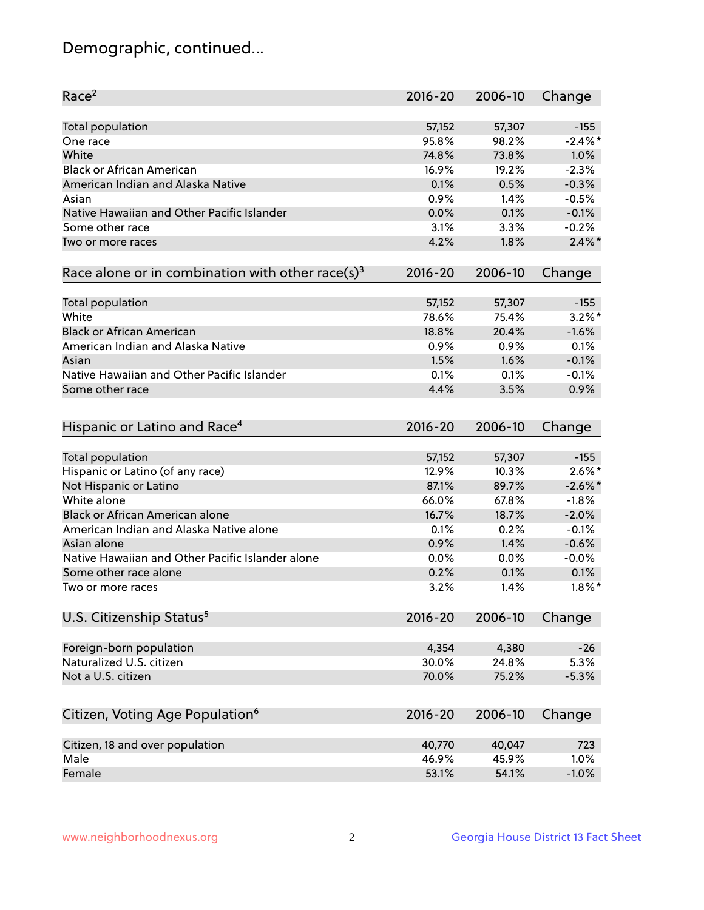## Demographic, continued...

| Race <sup>2</sup>                                            | $2016 - 20$ | 2006-10 | Change     |
|--------------------------------------------------------------|-------------|---------|------------|
| <b>Total population</b>                                      | 57,152      | 57,307  | $-155$     |
| One race                                                     | 95.8%       | 98.2%   | $-2.4\%$ * |
| White                                                        | 74.8%       | 73.8%   | 1.0%       |
| <b>Black or African American</b>                             | 16.9%       | 19.2%   | $-2.3%$    |
| American Indian and Alaska Native                            | 0.1%        | 0.5%    | $-0.3%$    |
| Asian                                                        | 0.9%        | 1.4%    | $-0.5%$    |
| Native Hawaiian and Other Pacific Islander                   | 0.0%        | 0.1%    | $-0.1%$    |
| Some other race                                              | 3.1%        | 3.3%    | $-0.2%$    |
| Two or more races                                            | 4.2%        | 1.8%    | $2.4\%$ *  |
|                                                              |             |         |            |
| Race alone or in combination with other race(s) <sup>3</sup> | $2016 - 20$ | 2006-10 | Change     |
| <b>Total population</b>                                      | 57,152      | 57,307  | $-155$     |
| White                                                        | 78.6%       | 75.4%   | $3.2\%$ *  |
| <b>Black or African American</b>                             | 18.8%       | 20.4%   | $-1.6%$    |
| American Indian and Alaska Native                            | 0.9%        | 0.9%    | 0.1%       |
| Asian                                                        | 1.5%        | 1.6%    | $-0.1%$    |
| Native Hawaiian and Other Pacific Islander                   | 0.1%        | 0.1%    | $-0.1%$    |
| Some other race                                              | 4.4%        | 3.5%    | 0.9%       |
|                                                              |             |         |            |
| Hispanic or Latino and Race <sup>4</sup>                     | 2016-20     | 2006-10 | Change     |
| <b>Total population</b>                                      | 57,152      | 57,307  | $-155$     |
| Hispanic or Latino (of any race)                             | 12.9%       | 10.3%   | $2.6\%$ *  |
| Not Hispanic or Latino                                       | 87.1%       | 89.7%   | $-2.6\%$ * |
| White alone                                                  | 66.0%       | 67.8%   | $-1.8%$    |
| <b>Black or African American alone</b>                       | 16.7%       | 18.7%   | $-2.0%$    |
| American Indian and Alaska Native alone                      | 0.1%        | 0.2%    | $-0.1%$    |
| Asian alone                                                  | 0.9%        | 1.4%    | $-0.6%$    |
| Native Hawaiian and Other Pacific Islander alone             |             |         |            |
|                                                              | 0.0%        | 0.0%    | $-0.0%$    |
| Some other race alone                                        | 0.2%        | 0.1%    | 0.1%       |
| Two or more races                                            | 3.2%        | 1.4%    | $1.8\%$ *  |
| U.S. Citizenship Status <sup>5</sup>                         | $2016 - 20$ | 2006-10 | Change     |
| Foreign-born population                                      | 4,354       | 4,380   | $-26$      |
| Naturalized U.S. citizen                                     | 30.0%       | 24.8%   | 5.3%       |
| Not a U.S. citizen                                           |             |         |            |
|                                                              | 70.0%       | 75.2%   | $-5.3%$    |
| Citizen, Voting Age Population <sup>6</sup>                  | $2016 - 20$ | 2006-10 | Change     |
|                                                              |             |         |            |
| Citizen, 18 and over population                              | 40,770      | 40,047  | 723        |
| Male                                                         | 46.9%       | 45.9%   | 1.0%       |
| Female                                                       | 53.1%       | 54.1%   | $-1.0%$    |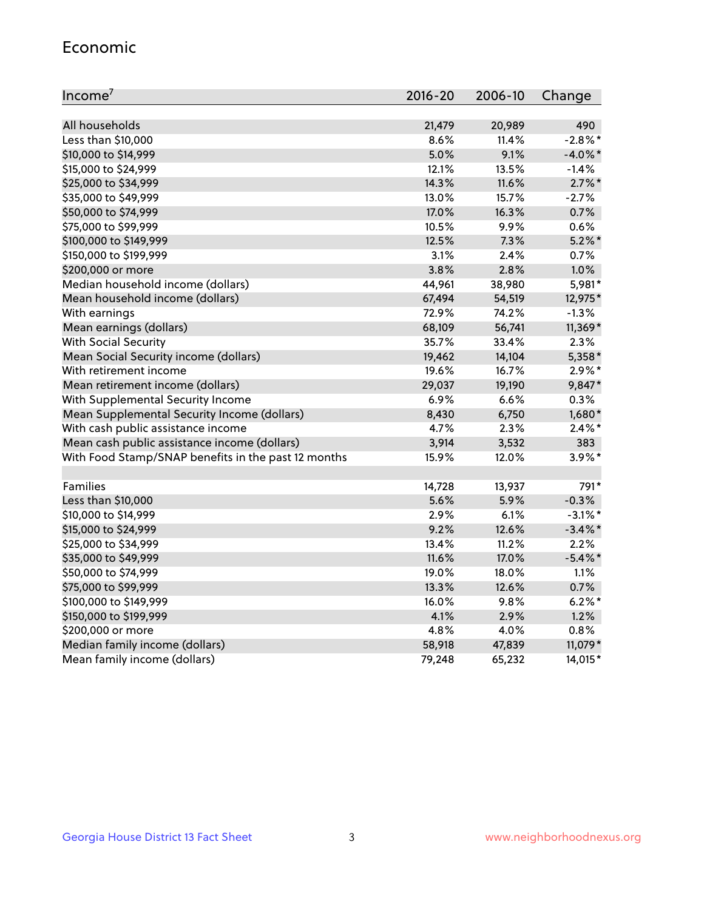#### Economic

| Income <sup>7</sup>                                 | $2016 - 20$ | 2006-10 | Change     |
|-----------------------------------------------------|-------------|---------|------------|
|                                                     |             |         |            |
| All households                                      | 21,479      | 20,989  | 490        |
| Less than \$10,000                                  | 8.6%        | 11.4%   | $-2.8%$    |
| \$10,000 to \$14,999                                | 5.0%        | 9.1%    | $-4.0\%$ * |
| \$15,000 to \$24,999                                | 12.1%       | 13.5%   | $-1.4%$    |
| \$25,000 to \$34,999                                | 14.3%       | 11.6%   | $2.7\%$ *  |
| \$35,000 to \$49,999                                | 13.0%       | 15.7%   | $-2.7%$    |
| \$50,000 to \$74,999                                | 17.0%       | 16.3%   | 0.7%       |
| \$75,000 to \$99,999                                | 10.5%       | 9.9%    | 0.6%       |
| \$100,000 to \$149,999                              | 12.5%       | 7.3%    | $5.2\%$ *  |
| \$150,000 to \$199,999                              | 3.1%        | 2.4%    | 0.7%       |
| \$200,000 or more                                   | 3.8%        | 2.8%    | 1.0%       |
| Median household income (dollars)                   | 44,961      | 38,980  | 5,981*     |
| Mean household income (dollars)                     | 67,494      | 54,519  | 12,975*    |
| With earnings                                       | 72.9%       | 74.2%   | $-1.3%$    |
| Mean earnings (dollars)                             | 68,109      | 56,741  | 11,369*    |
| <b>With Social Security</b>                         | 35.7%       | 33.4%   | 2.3%       |
| Mean Social Security income (dollars)               | 19,462      | 14,104  | 5,358*     |
| With retirement income                              | 19.6%       | 16.7%   | $2.9\%$ *  |
| Mean retirement income (dollars)                    | 29,037      | 19,190  | 9,847*     |
| With Supplemental Security Income                   | 6.9%        | 6.6%    | 0.3%       |
| Mean Supplemental Security Income (dollars)         | 8,430       | 6,750   | 1,680*     |
| With cash public assistance income                  | 4.7%        | 2.3%    | $2.4\%$ *  |
| Mean cash public assistance income (dollars)        | 3,914       | 3,532   | 383        |
| With Food Stamp/SNAP benefits in the past 12 months | 15.9%       | 12.0%   | $3.9\%$ *  |
|                                                     |             |         |            |
| Families                                            | 14,728      | 13,937  | 791*       |
| Less than \$10,000                                  | 5.6%        | 5.9%    | $-0.3%$    |
| \$10,000 to \$14,999                                | 2.9%        | 6.1%    | $-3.1\%$ * |
| \$15,000 to \$24,999                                | 9.2%        | 12.6%   | $-3.4\%$ * |
| \$25,000 to \$34,999                                | 13.4%       | 11.2%   | 2.2%       |
| \$35,000 to \$49,999                                | 11.6%       | 17.0%   | $-5.4\%$ * |
| \$50,000 to \$74,999                                | 19.0%       | 18.0%   | 1.1%       |
| \$75,000 to \$99,999                                | 13.3%       | 12.6%   | 0.7%       |
| \$100,000 to \$149,999                              | 16.0%       | $9.8\%$ | $6.2%$ *   |
| \$150,000 to \$199,999                              | 4.1%        | 2.9%    | 1.2%       |
| \$200,000 or more                                   | 4.8%        | 4.0%    | 0.8%       |
| Median family income (dollars)                      | 58,918      | 47,839  | 11,079*    |
| Mean family income (dollars)                        | 79,248      | 65,232  | 14,015*    |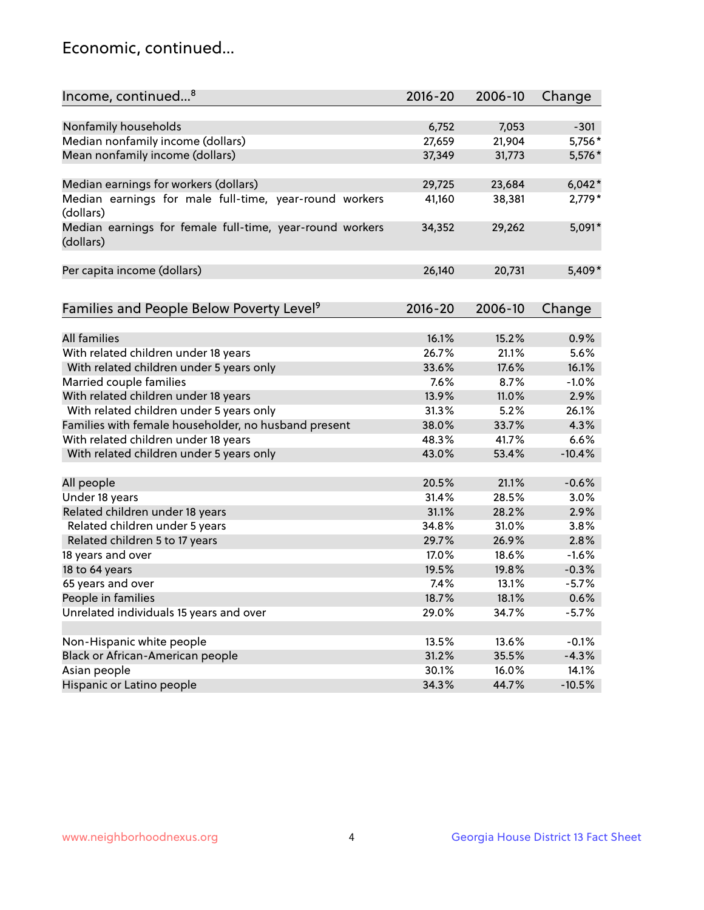## Economic, continued...

| Income, continued <sup>8</sup>                           | $2016 - 20$ | 2006-10 |          |
|----------------------------------------------------------|-------------|---------|----------|
|                                                          |             |         | Change   |
|                                                          |             | 7,053   |          |
| Nonfamily households                                     | 6,752       |         | $-301$   |
| Median nonfamily income (dollars)                        | 27,659      | 21,904  | 5,756*   |
| Mean nonfamily income (dollars)                          | 37,349      | 31,773  | 5,576*   |
| Median earnings for workers (dollars)                    | 29,725      | 23,684  | $6,042*$ |
| Median earnings for male full-time, year-round workers   | 41,160      | 38,381  | 2,779*   |
| (dollars)                                                |             |         |          |
| Median earnings for female full-time, year-round workers | 34,352      | 29,262  | 5,091*   |
| (dollars)                                                |             |         |          |
|                                                          |             |         |          |
| Per capita income (dollars)                              | 26,140      | 20,731  | 5,409*   |
|                                                          |             |         |          |
| Families and People Below Poverty Level <sup>9</sup>     | 2016-20     | 2006-10 | Change   |
|                                                          |             |         |          |
| <b>All families</b>                                      | 16.1%       | 15.2%   | 0.9%     |
| With related children under 18 years                     | 26.7%       | 21.1%   | 5.6%     |
| With related children under 5 years only                 | 33.6%       | 17.6%   | 16.1%    |
| Married couple families                                  | 7.6%        | 8.7%    | $-1.0%$  |
| With related children under 18 years                     | 13.9%       | 11.0%   | 2.9%     |
| With related children under 5 years only                 | 31.3%       | 5.2%    | 26.1%    |
| Families with female householder, no husband present     | 38.0%       | 33.7%   | 4.3%     |
| With related children under 18 years                     | 48.3%       | 41.7%   | 6.6%     |
| With related children under 5 years only                 | 43.0%       | 53.4%   | $-10.4%$ |
|                                                          |             |         |          |
| All people                                               | 20.5%       | 21.1%   | $-0.6%$  |
| Under 18 years                                           | 31.4%       | 28.5%   | 3.0%     |
| Related children under 18 years                          | 31.1%       | 28.2%   | 2.9%     |
| Related children under 5 years                           | 34.8%       | 31.0%   | 3.8%     |
| Related children 5 to 17 years                           | 29.7%       | 26.9%   | 2.8%     |
| 18 years and over                                        | 17.0%       | 18.6%   | $-1.6%$  |
| 18 to 64 years                                           | 19.5%       | 19.8%   | $-0.3%$  |
| 65 years and over                                        | 7.4%        | 13.1%   | $-5.7%$  |
| People in families                                       | 18.7%       | 18.1%   | 0.6%     |
| Unrelated individuals 15 years and over                  | 29.0%       | 34.7%   | $-5.7%$  |
|                                                          |             |         |          |
| Non-Hispanic white people                                | 13.5%       | 13.6%   | $-0.1%$  |
| Black or African-American people                         | 31.2%       | 35.5%   | $-4.3%$  |
| Asian people                                             | 30.1%       | 16.0%   | 14.1%    |
| Hispanic or Latino people                                | 34.3%       | 44.7%   | $-10.5%$ |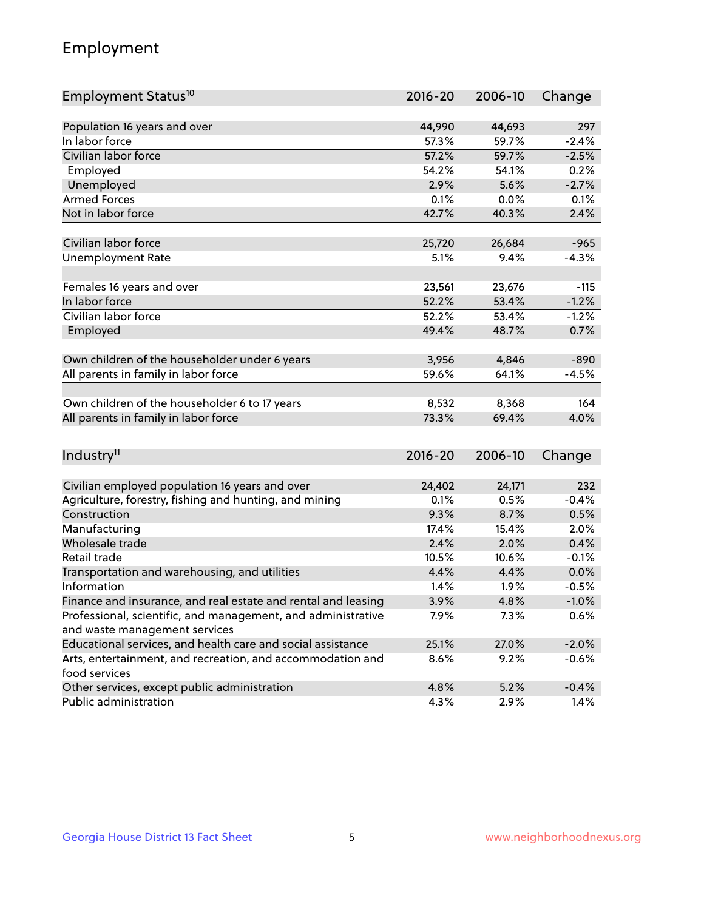## Employment

| Employment Status <sup>10</sup>                                        | $2016 - 20$         | 2006-10       | Change       |
|------------------------------------------------------------------------|---------------------|---------------|--------------|
|                                                                        |                     |               |              |
| Population 16 years and over                                           | 44,990              | 44,693        | 297          |
| In labor force                                                         | 57.3%               | 59.7%         | $-2.4%$      |
| Civilian labor force                                                   | $\overline{57.2\%}$ | 59.7%         | $-2.5%$      |
| Employed                                                               | 54.2%               | 54.1%         | 0.2%         |
| Unemployed                                                             | 2.9%                | 5.6%          | $-2.7%$      |
| <b>Armed Forces</b>                                                    | 0.1%                | 0.0%          | 0.1%         |
| Not in labor force                                                     | 42.7%               | 40.3%         | 2.4%         |
|                                                                        |                     |               |              |
| Civilian labor force                                                   | 25,720              | 26,684        | $-965$       |
| <b>Unemployment Rate</b>                                               | 5.1%                | 9.4%          | $-4.3%$      |
|                                                                        |                     |               |              |
| Females 16 years and over                                              | 23,561              | 23,676        | -115         |
| In labor force                                                         | 52.2%               | 53.4%         | $-1.2%$      |
| Civilian labor force                                                   | 52.2%               | 53.4%         | $-1.2%$      |
| Employed                                                               | 49.4%               | 48.7%         | 0.7%         |
|                                                                        |                     |               |              |
| Own children of the householder under 6 years                          | 3,956               | 4,846         | $-890$       |
| All parents in family in labor force                                   | 59.6%               | 64.1%         | $-4.5%$      |
| Own children of the householder 6 to 17 years                          | 8,532               | 8,368         | 164          |
| All parents in family in labor force                                   | 73.3%               | 69.4%         | 4.0%         |
|                                                                        |                     |               |              |
|                                                                        |                     |               |              |
| Industry <sup>11</sup>                                                 | $2016 - 20$         | 2006-10       | Change       |
|                                                                        |                     |               |              |
| Civilian employed population 16 years and over                         | 24,402              | 24,171        | 232          |
| Agriculture, forestry, fishing and hunting, and mining<br>Construction | 0.1%                | 0.5%          | $-0.4%$      |
|                                                                        | 9.3%<br>17.4%       | 8.7%          | 0.5%         |
| Manufacturing<br>Wholesale trade                                       | 2.4%                | 15.4%<br>2.0% | 2.0%<br>0.4% |
| <b>Retail trade</b>                                                    | 10.5%               | 10.6%         | $-0.1%$      |
| Transportation and warehousing, and utilities                          | 4.4%                | 4.4%          | 0.0%         |
| Information                                                            | 1.4%                | 1.9%          | $-0.5%$      |
| Finance and insurance, and real estate and rental and leasing          | 3.9%                | 4.8%          | $-1.0%$      |
| Professional, scientific, and management, and administrative           | 7.9%                | 7.3%          | 0.6%         |
| and waste management services                                          |                     |               |              |
| Educational services, and health care and social assistance            | 25.1%               | 27.0%         | $-2.0%$      |
| Arts, entertainment, and recreation, and accommodation and             | 8.6%                | 9.2%          | $-0.6%$      |
| food services                                                          |                     |               |              |
| Other services, except public administration                           | 4.8%                | 5.2%          | $-0.4%$      |
| Public administration                                                  | 4.3%                | 2.9%          | 1.4%         |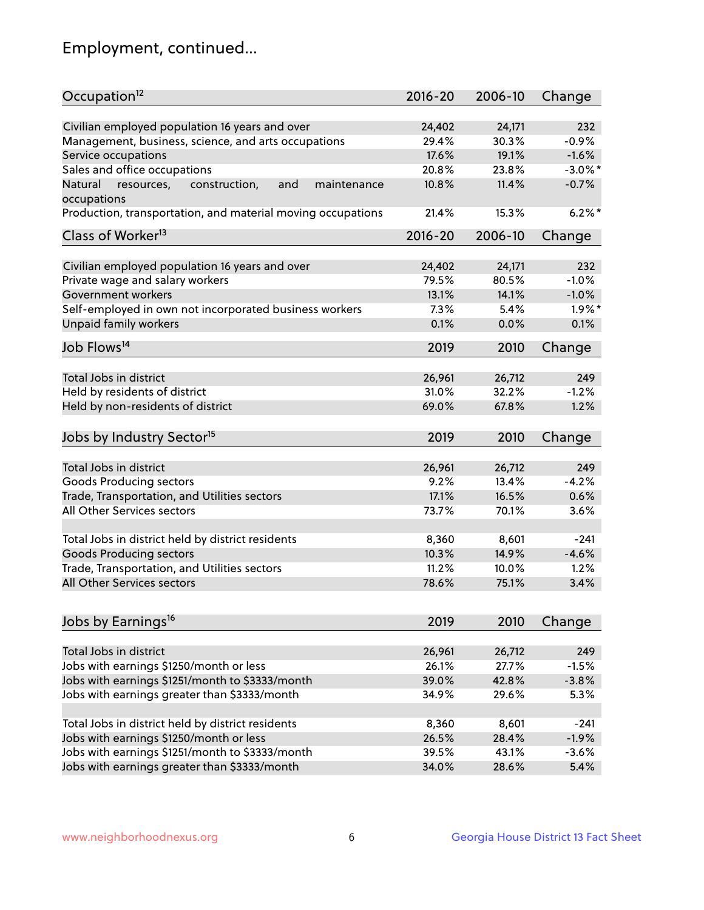## Employment, continued...

| Occupation <sup>12</sup>                                                    | $2016 - 20$ | 2006-10 | Change     |
|-----------------------------------------------------------------------------|-------------|---------|------------|
|                                                                             |             |         | 232        |
| Civilian employed population 16 years and over                              | 24,402      | 24,171  |            |
| Management, business, science, and arts occupations                         | 29.4%       | 30.3%   | $-0.9%$    |
| Service occupations                                                         | 17.6%       | 19.1%   | $-1.6%$    |
| Sales and office occupations                                                | 20.8%       | 23.8%   | $-3.0\%$ * |
| and<br>Natural<br>resources,<br>construction,<br>maintenance<br>occupations | 10.8%       | 11.4%   | $-0.7%$    |
| Production, transportation, and material moving occupations                 | 21.4%       | 15.3%   | $6.2\%$ *  |
| Class of Worker <sup>13</sup>                                               | $2016 - 20$ | 2006-10 | Change     |
|                                                                             |             |         |            |
| Civilian employed population 16 years and over                              | 24,402      | 24,171  | 232        |
| Private wage and salary workers                                             | 79.5%       | 80.5%   | $-1.0%$    |
| Government workers                                                          | 13.1%       | 14.1%   | $-1.0%$    |
| Self-employed in own not incorporated business workers                      | 7.3%        | 5.4%    | $1.9\%$ *  |
| <b>Unpaid family workers</b>                                                | 0.1%        | 0.0%    | 0.1%       |
| Job Flows <sup>14</sup>                                                     | 2019        | 2010    | Change     |
|                                                                             |             |         |            |
| Total Jobs in district                                                      | 26,961      | 26,712  | 249        |
| Held by residents of district                                               | 31.0%       | 32.2%   | $-1.2%$    |
| Held by non-residents of district                                           | 69.0%       | 67.8%   | 1.2%       |
| Jobs by Industry Sector <sup>15</sup>                                       | 2019        | 2010    | Change     |
|                                                                             |             |         |            |
| Total Jobs in district                                                      | 26,961      | 26,712  | 249        |
| Goods Producing sectors                                                     | 9.2%        | 13.4%   | $-4.2%$    |
| Trade, Transportation, and Utilities sectors                                | 17.1%       | 16.5%   | 0.6%       |
| All Other Services sectors                                                  | 73.7%       | 70.1%   | 3.6%       |
| Total Jobs in district held by district residents                           | 8,360       | 8,601   | $-241$     |
| <b>Goods Producing sectors</b>                                              | 10.3%       | 14.9%   | $-4.6%$    |
| Trade, Transportation, and Utilities sectors                                | 11.2%       | 10.0%   | 1.2%       |
| All Other Services sectors                                                  | 78.6%       | 75.1%   | 3.4%       |
|                                                                             |             |         |            |
| Jobs by Earnings <sup>16</sup>                                              | 2019        | 2010    | Change     |
|                                                                             |             |         |            |
| Total Jobs in district                                                      | 26,961      | 26,712  | 249        |
| Jobs with earnings \$1250/month or less                                     | 26.1%       | 27.7%   | $-1.5%$    |
| Jobs with earnings \$1251/month to \$3333/month                             | 39.0%       | 42.8%   | $-3.8%$    |
| Jobs with earnings greater than \$3333/month                                | 34.9%       | 29.6%   | 5.3%       |
| Total Jobs in district held by district residents                           | 8,360       | 8,601   | $-241$     |
| Jobs with earnings \$1250/month or less                                     | 26.5%       | 28.4%   | $-1.9%$    |
| Jobs with earnings \$1251/month to \$3333/month                             | 39.5%       | 43.1%   | $-3.6%$    |
| Jobs with earnings greater than \$3333/month                                | 34.0%       | 28.6%   | 5.4%       |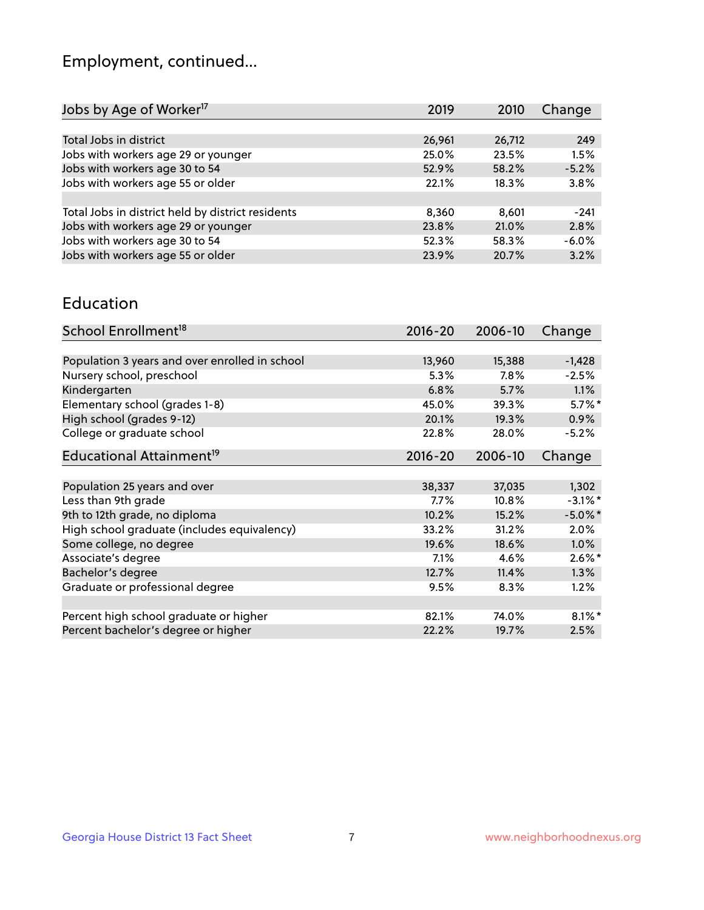## Employment, continued...

| Jobs by Age of Worker <sup>17</sup>               | 2019   | 2010   | Change  |
|---------------------------------------------------|--------|--------|---------|
|                                                   |        |        |         |
| Total Jobs in district                            | 26,961 | 26,712 | 249     |
| Jobs with workers age 29 or younger               | 25.0%  | 23.5%  | 1.5%    |
| Jobs with workers age 30 to 54                    | 52.9%  | 58.2%  | $-5.2%$ |
| Jobs with workers age 55 or older                 | 22.1%  | 18.3%  | 3.8%    |
|                                                   |        |        |         |
| Total Jobs in district held by district residents | 8,360  | 8,601  | $-241$  |
| Jobs with workers age 29 or younger               | 23.8%  | 21.0%  | 2.8%    |
| Jobs with workers age 30 to 54                    | 52.3%  | 58.3%  | $-6.0%$ |
| Jobs with workers age 55 or older                 | 23.9%  | 20.7%  | 3.2%    |
|                                                   |        |        |         |

#### Education

| School Enrollment <sup>18</sup>                | $2016 - 20$ | 2006-10 | Change     |
|------------------------------------------------|-------------|---------|------------|
|                                                |             |         |            |
| Population 3 years and over enrolled in school | 13,960      | 15,388  | $-1,428$   |
| Nursery school, preschool                      | 5.3%        | 7.8%    | $-2.5%$    |
| Kindergarten                                   | 6.8%        | 5.7%    | 1.1%       |
| Elementary school (grades 1-8)                 | 45.0%       | 39.3%   | $5.7\%$ *  |
| High school (grades 9-12)                      | 20.1%       | 19.3%   | 0.9%       |
| College or graduate school                     | 22.8%       | 28.0%   | $-5.2%$    |
| Educational Attainment <sup>19</sup>           | $2016 - 20$ | 2006-10 | Change     |
|                                                |             |         |            |
| Population 25 years and over                   | 38,337      | 37,035  | 1,302      |
| Less than 9th grade                            | $7.7\%$     | 10.8%   | $-3.1\%$ * |
| 9th to 12th grade, no diploma                  | 10.2%       | 15.2%   | $-5.0\%$ * |
| High school graduate (includes equivalency)    | 33.2%       | 31.2%   | 2.0%       |
| Some college, no degree                        | 19.6%       | 18.6%   | 1.0%       |
| Associate's degree                             | 7.1%        | 4.6%    | $2.6\%$ *  |
| Bachelor's degree                              | 12.7%       | 11.4%   | 1.3%       |
| Graduate or professional degree                | 9.5%        | 8.3%    | 1.2%       |
|                                                |             |         |            |
| Percent high school graduate or higher         | 82.1%       | 74.0%   | $8.1\%$ *  |
| Percent bachelor's degree or higher            | 22.2%       | 19.7%   | 2.5%       |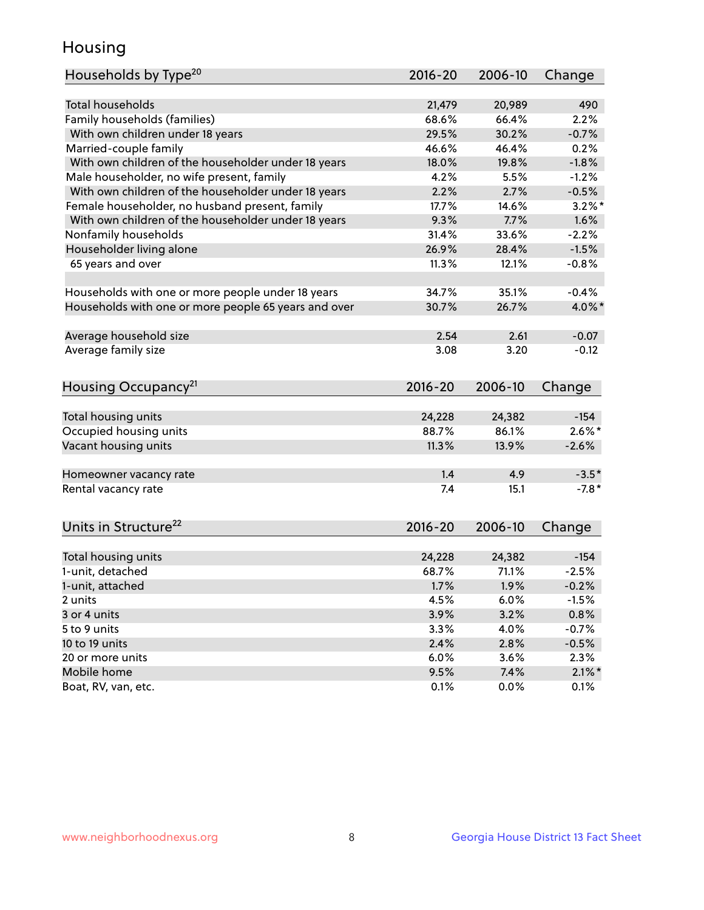## Housing

| Households by Type <sup>20</sup><br>Change                                       |           |
|----------------------------------------------------------------------------------|-----------|
|                                                                                  |           |
| <b>Total households</b><br>21,479<br>20,989                                      | 490       |
| Family households (families)<br>68.6%<br>66.4%<br>2.2%                           |           |
| With own children under 18 years<br>29.5%<br>30.2%<br>$-0.7%$                    |           |
| Married-couple family<br>46.6%<br>0.2%<br>46.4%                                  |           |
| With own children of the householder under 18 years<br>19.8%<br>$-1.8%$<br>18.0% |           |
| Male householder, no wife present, family<br>4.2%<br>5.5%<br>$-1.2%$             |           |
| With own children of the householder under 18 years<br>$-0.5%$<br>2.2%<br>2.7%   |           |
| Female householder, no husband present, family<br>17.7%<br>14.6%                 | $3.2\%$ * |
| With own children of the householder under 18 years<br>9.3%<br>1.6%<br>7.7%      |           |
| Nonfamily households<br>31.4%<br>33.6%<br>$-2.2%$                                |           |
| Householder living alone<br>26.9%<br>28.4%<br>$-1.5%$                            |           |
| 65 years and over<br>11.3%<br>12.1%<br>$-0.8%$                                   |           |
|                                                                                  |           |
| Households with one or more people under 18 years<br>34.7%<br>35.1%<br>$-0.4%$   |           |
| Households with one or more people 65 years and over<br>30.7%<br>26.7%           | 4.0%*     |
|                                                                                  |           |
| Average household size<br>2.54<br>2.61<br>$-0.07$                                |           |
| Average family size<br>3.08<br>3.20                                              | $-0.12$   |
|                                                                                  |           |
| Housing Occupancy <sup>21</sup><br>2016-20<br>2006-10<br>Change                  |           |
|                                                                                  |           |
| Total housing units<br>24,228<br>24,382<br>$-154$                                |           |
| Occupied housing units<br>$2.6\%$ *<br>88.7%<br>86.1%                            |           |
| Vacant housing units<br>11.3%<br>13.9%<br>$-2.6%$                                |           |
|                                                                                  |           |
| 1.4<br>4.9<br>Homeowner vacancy rate                                             | $-3.5*$   |
| Rental vacancy rate<br>7.4<br>15.1                                               | $-7.8*$   |
|                                                                                  |           |
| Units in Structure <sup>22</sup><br>$2016 - 20$<br>2006-10<br>Change             |           |
|                                                                                  |           |
| Total housing units<br>24,228<br>24,382<br>$-154$                                |           |
| 1-unit, detached<br>68.7%<br>71.1%<br>$-2.5%$                                    |           |
| 1.7%<br>1.9%<br>$-0.2%$<br>1-unit, attached                                      |           |
| 4.5%<br>6.0%<br>$-1.5%$<br>2 units                                               |           |
| 3.2%<br>3.9%<br>0.8%<br>3 or 4 units                                             |           |
| 5 to 9 units<br>3.3%<br>4.0%<br>$-0.7%$                                          |           |
| 2.8%<br>10 to 19 units<br>2.4%<br>$-0.5%$                                        |           |
| 20 or more units<br>6.0%<br>3.6%<br>2.3%                                         |           |
| Mobile home<br>9.5%<br>7.4%                                                      | $2.1\%$ * |
| Boat, RV, van, etc.<br>0.1%<br>0.0%<br>0.1%                                      |           |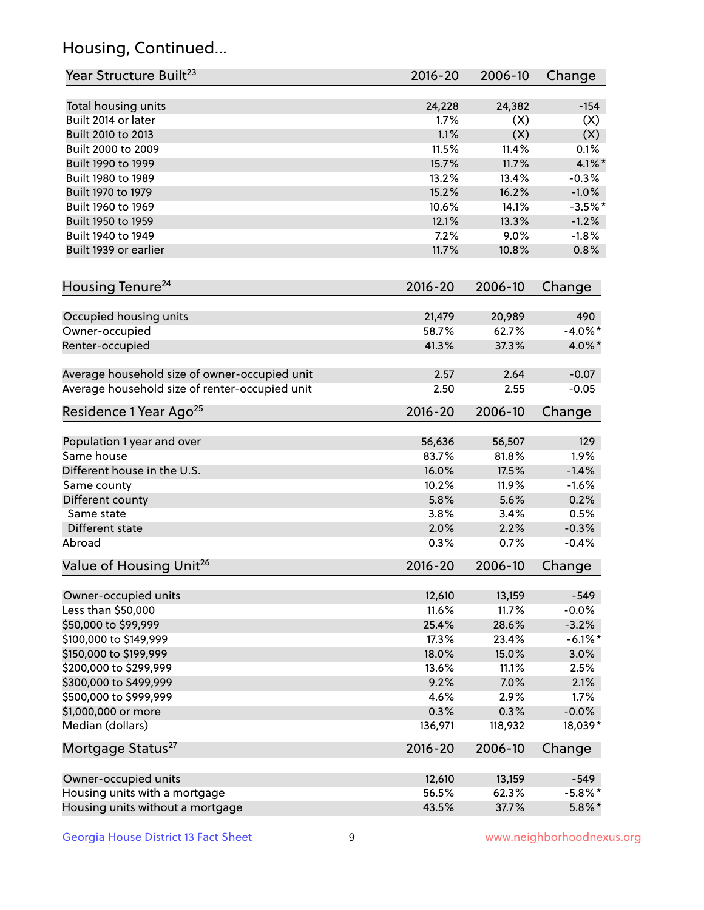## Housing, Continued...

| Year Structure Built <sup>23</sup>             | 2016-20     | 2006-10 | Change     |
|------------------------------------------------|-------------|---------|------------|
| Total housing units                            | 24,228      | 24,382  | $-154$     |
| Built 2014 or later                            | 1.7%        | (X)     | (X)        |
| Built 2010 to 2013                             | 1.1%        | (X)     | (X)        |
| Built 2000 to 2009                             | 11.5%       | 11.4%   | 0.1%       |
| Built 1990 to 1999                             | 15.7%       | 11.7%   | $4.1\%$ *  |
| Built 1980 to 1989                             | 13.2%       | 13.4%   | $-0.3%$    |
| Built 1970 to 1979                             | 15.2%       | 16.2%   | $-1.0%$    |
| Built 1960 to 1969                             | 10.6%       | 14.1%   | $-3.5%$ *  |
| Built 1950 to 1959                             | 12.1%       | 13.3%   | $-1.2%$    |
| Built 1940 to 1949                             | 7.2%        | 9.0%    | $-1.8%$    |
| Built 1939 or earlier                          | 11.7%       | 10.8%   | 0.8%       |
|                                                |             |         |            |
| Housing Tenure <sup>24</sup>                   | $2016 - 20$ | 2006-10 | Change     |
| Occupied housing units                         | 21,479      | 20,989  | 490        |
| Owner-occupied                                 | 58.7%       | 62.7%   | $-4.0\%$ * |
| Renter-occupied                                | 41.3%       | 37.3%   | 4.0%*      |
|                                                |             |         |            |
| Average household size of owner-occupied unit  | 2.57        | 2.64    | $-0.07$    |
| Average household size of renter-occupied unit | 2.50        | 2.55    | $-0.05$    |
| Residence 1 Year Ago <sup>25</sup>             | $2016 - 20$ | 2006-10 | Change     |
| Population 1 year and over                     | 56,636      | 56,507  | 129        |
| Same house                                     | 83.7%       | 81.8%   | 1.9%       |
| Different house in the U.S.                    | 16.0%       | 17.5%   | $-1.4%$    |
| Same county                                    | 10.2%       | 11.9%   | $-1.6%$    |
| Different county                               | 5.8%        | 5.6%    | 0.2%       |
| Same state                                     | 3.8%        | 3.4%    | 0.5%       |
| Different state                                | 2.0%        | 2.2%    | $-0.3%$    |
| Abroad                                         | 0.3%        | 0.7%    | $-0.4%$    |
| Value of Housing Unit <sup>26</sup>            | $2016 - 20$ | 2006-10 | Change     |
|                                                |             |         |            |
| Owner-occupied units                           | 12,610      | 13,159  | $-549$     |
| Less than \$50,000                             | 11.6%       | 11.7%   | $-0.0%$    |
| \$50,000 to \$99,999                           | 25.4%       | 28.6%   | $-3.2%$    |
| \$100,000 to \$149,999                         | 17.3%       | 23.4%   | $-6.1\%$ * |
| \$150,000 to \$199,999                         | 18.0%       | 15.0%   | 3.0%       |
| \$200,000 to \$299,999                         | 13.6%       | 11.1%   | 2.5%       |
| \$300,000 to \$499,999                         | 9.2%        | 7.0%    | 2.1%       |
| \$500,000 to \$999,999                         | 4.6%        | 2.9%    | 1.7%       |
| \$1,000,000 or more                            | 0.3%        | 0.3%    | $-0.0%$    |
| Median (dollars)                               | 136,971     | 118,932 | 18,039*    |
| Mortgage Status <sup>27</sup>                  | $2016 - 20$ | 2006-10 | Change     |
| Owner-occupied units                           | 12,610      | 13,159  | $-549$     |
| Housing units with a mortgage                  | 56.5%       | 62.3%   | $-5.8\%$ * |
| Housing units without a mortgage               | 43.5%       | 37.7%   | $5.8\%$ *  |
|                                                |             |         |            |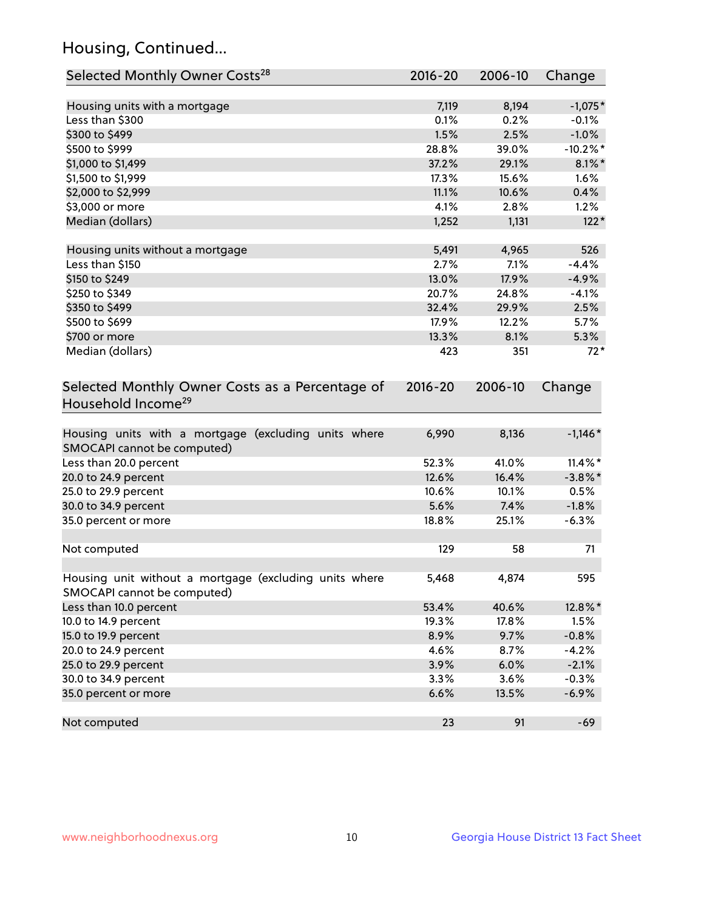## Housing, Continued...

| Selected Monthly Owner Costs <sup>28</sup>                                            | 2016-20     | 2006-10 | Change      |
|---------------------------------------------------------------------------------------|-------------|---------|-------------|
| Housing units with a mortgage                                                         | 7,119       | 8,194   | $-1,075*$   |
| Less than \$300                                                                       | 0.1%        | 0.2%    | $-0.1%$     |
| \$300 to \$499                                                                        | 1.5%        | 2.5%    | $-1.0%$     |
| \$500 to \$999                                                                        | 28.8%       | 39.0%   | $-10.2\%$ * |
| \$1,000 to \$1,499                                                                    | 37.2%       | 29.1%   | $8.1\%$ *   |
| \$1,500 to \$1,999                                                                    | 17.3%       | 15.6%   | 1.6%        |
| \$2,000 to \$2,999                                                                    | 11.1%       | 10.6%   | 0.4%        |
| \$3,000 or more                                                                       | 4.1%        | 2.8%    | 1.2%        |
| Median (dollars)                                                                      | 1,252       | 1,131   | $122*$      |
| Housing units without a mortgage                                                      | 5,491       | 4,965   | 526         |
| Less than \$150                                                                       | 2.7%        | 7.1%    | $-4.4%$     |
| \$150 to \$249                                                                        | 13.0%       | 17.9%   | $-4.9%$     |
| \$250 to \$349                                                                        | 20.7%       | 24.8%   | $-4.1%$     |
| \$350 to \$499                                                                        | 32.4%       | 29.9%   | 2.5%        |
| \$500 to \$699                                                                        | 17.9%       | 12.2%   | 5.7%        |
| \$700 or more                                                                         | 13.3%       | 8.1%    | 5.3%        |
| Median (dollars)                                                                      | 423         | 351     | $72*$       |
| Selected Monthly Owner Costs as a Percentage of<br>Household Income <sup>29</sup>     | $2016 - 20$ | 2006-10 | Change      |
| Housing units with a mortgage (excluding units where<br>SMOCAPI cannot be computed)   | 6,990       | 8,136   | $-1,146*$   |
| Less than 20.0 percent                                                                | 52.3%       | 41.0%   | $11.4\%$ *  |
| 20.0 to 24.9 percent                                                                  | 12.6%       | 16.4%   | $-3.8\%$ *  |
| 25.0 to 29.9 percent                                                                  | 10.6%       | 10.1%   | 0.5%        |
| 30.0 to 34.9 percent                                                                  | 5.6%        | 7.4%    | $-1.8%$     |
| 35.0 percent or more                                                                  | 18.8%       | 25.1%   | $-6.3%$     |
| Not computed                                                                          | 129         | 58      | 71          |
| Housing unit without a mortgage (excluding units where<br>SMOCAPI cannot be computed) | 5,468       | 4,874   | 595         |
| Less than 10.0 percent                                                                | 53.4%       | 40.6%   | 12.8%*      |
| 10.0 to 14.9 percent                                                                  | 19.3%       | 17.8%   | 1.5%        |
| 15.0 to 19.9 percent                                                                  | 8.9%        | 9.7%    | $-0.8%$     |
| 20.0 to 24.9 percent                                                                  | 4.6%        | 8.7%    | $-4.2%$     |
| 25.0 to 29.9 percent                                                                  | 3.9%        | 6.0%    | $-2.1%$     |
| 30.0 to 34.9 percent                                                                  | 3.3%        | 3.6%    | $-0.3%$     |
| 35.0 percent or more                                                                  | 6.6%        | 13.5%   | $-6.9%$     |
| Not computed                                                                          | 23          | 91      | $-69$       |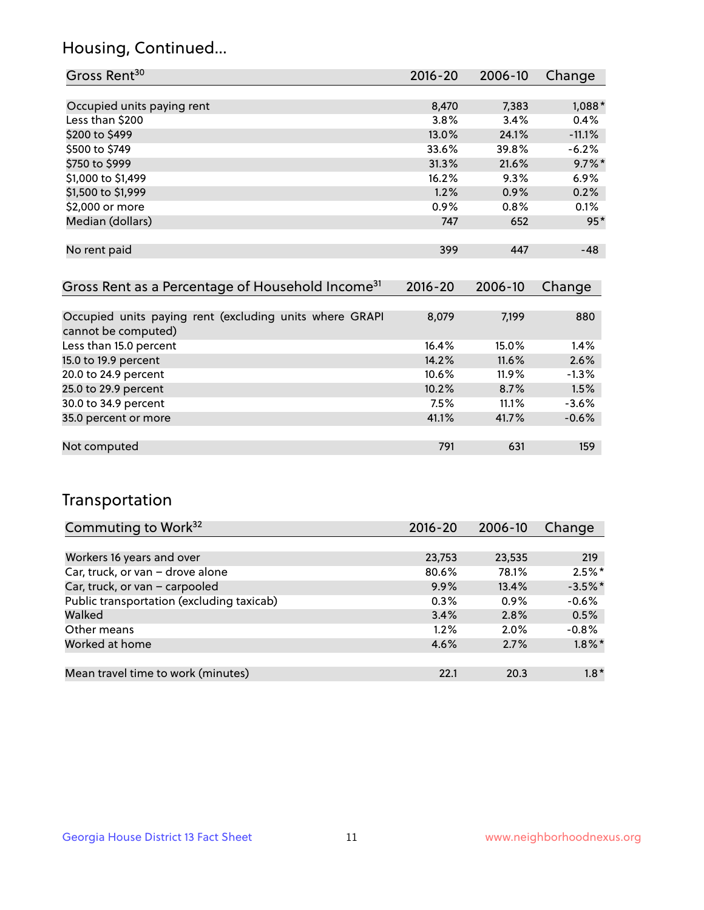## Housing, Continued...

| Gross Rent <sup>30</sup>   | 2016-20 | 2006-10 | Change    |
|----------------------------|---------|---------|-----------|
|                            |         |         |           |
| Occupied units paying rent | 8,470   | 7,383   | $1,088*$  |
| Less than \$200            | 3.8%    | 3.4%    | 0.4%      |
| \$200 to \$499             | 13.0%   | 24.1%   | $-11.1%$  |
| \$500 to \$749             | 33.6%   | 39.8%   | $-6.2%$   |
| \$750 to \$999             | 31.3%   | 21.6%   | $9.7\%$ * |
| \$1,000 to \$1,499         | 16.2%   | 9.3%    | 6.9%      |
| \$1,500 to \$1,999         | 1.2%    | 0.9%    | 0.2%      |
| \$2,000 or more            | 0.9%    | 0.8%    | 0.1%      |
| Median (dollars)           | 747     | 652     | $95*$     |
|                            |         |         |           |
| No rent paid               | 399     | 447     | $-48$     |
|                            |         |         |           |

| Gross Rent as a Percentage of Household Income <sup>31</sup>                   | $2016 - 20$ | 2006-10  | Change  |
|--------------------------------------------------------------------------------|-------------|----------|---------|
|                                                                                |             |          |         |
| Occupied units paying rent (excluding units where GRAPI<br>cannot be computed) | 8,079       | 7,199    | 880     |
| Less than 15.0 percent                                                         | 16.4%       | 15.0%    | 1.4%    |
| 15.0 to 19.9 percent                                                           | 14.2%       | 11.6%    | 2.6%    |
| 20.0 to 24.9 percent                                                           | 10.6%       | $11.9\%$ | $-1.3%$ |
| 25.0 to 29.9 percent                                                           | 10.2%       | 8.7%     | 1.5%    |
| 30.0 to 34.9 percent                                                           | 7.5%        | 11.1%    | $-3.6%$ |
| 35.0 percent or more                                                           | 41.1%       | 41.7%    | $-0.6%$ |
|                                                                                |             |          |         |
| Not computed                                                                   | 791         | 631      | 159     |

## Transportation

| Commuting to Work <sup>32</sup>           | $2016 - 20$ | 2006-10 | Change    |
|-------------------------------------------|-------------|---------|-----------|
|                                           |             |         |           |
| Workers 16 years and over                 | 23,753      | 23,535  | 219       |
| Car, truck, or van - drove alone          | 80.6%       | 78.1%   | $2.5%$ *  |
| Car, truck, or van - carpooled            | 9.9%        | 13.4%   | $-3.5%$ * |
| Public transportation (excluding taxicab) | $0.3\%$     | $0.9\%$ | $-0.6%$   |
| Walked                                    | 3.4%        | 2.8%    | 0.5%      |
| Other means                               | 1.2%        | $2.0\%$ | $-0.8%$   |
| Worked at home                            | 4.6%        | 2.7%    | $1.8\%$ * |
|                                           |             |         |           |
| Mean travel time to work (minutes)        | 22.1        | 20.3    | $1.8*$    |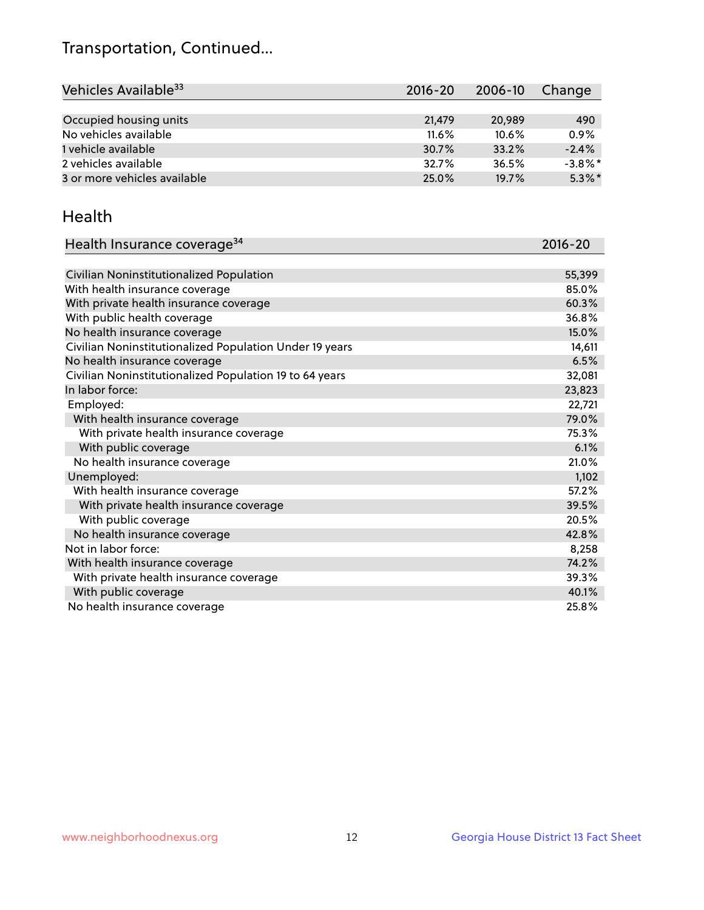## Transportation, Continued...

| Vehicles Available <sup>33</sup> | $2016 - 20$ | 2006-10  | Change     |
|----------------------------------|-------------|----------|------------|
|                                  |             |          |            |
| Occupied housing units           | 21,479      | 20,989   | 490        |
| No vehicles available            | $11.6\%$    | $10.6\%$ | 0.9%       |
| 1 vehicle available              | 30.7%       | 33.2%    | $-2.4%$    |
| 2 vehicles available             | 32.7%       | 36.5%    | $-3.8\%$ * |
| 3 or more vehicles available     | 25.0%       | 19.7%    | $5.3\%$ *  |

#### Health

| Health Insurance coverage <sup>34</sup>                 | 2016-20 |
|---------------------------------------------------------|---------|
|                                                         |         |
| Civilian Noninstitutionalized Population                | 55,399  |
| With health insurance coverage                          | 85.0%   |
| With private health insurance coverage                  | 60.3%   |
| With public health coverage                             | 36.8%   |
| No health insurance coverage                            | 15.0%   |
| Civilian Noninstitutionalized Population Under 19 years | 14,611  |
| No health insurance coverage                            | 6.5%    |
| Civilian Noninstitutionalized Population 19 to 64 years | 32,081  |
| In labor force:                                         | 23,823  |
| Employed:                                               | 22,721  |
| With health insurance coverage                          | 79.0%   |
| With private health insurance coverage                  | 75.3%   |
| With public coverage                                    | 6.1%    |
| No health insurance coverage                            | 21.0%   |
| Unemployed:                                             | 1,102   |
| With health insurance coverage                          | 57.2%   |
| With private health insurance coverage                  | 39.5%   |
| With public coverage                                    | 20.5%   |
| No health insurance coverage                            | 42.8%   |
| Not in labor force:                                     | 8,258   |
| With health insurance coverage                          | 74.2%   |
| With private health insurance coverage                  | 39.3%   |
| With public coverage                                    | 40.1%   |
| No health insurance coverage                            | 25.8%   |